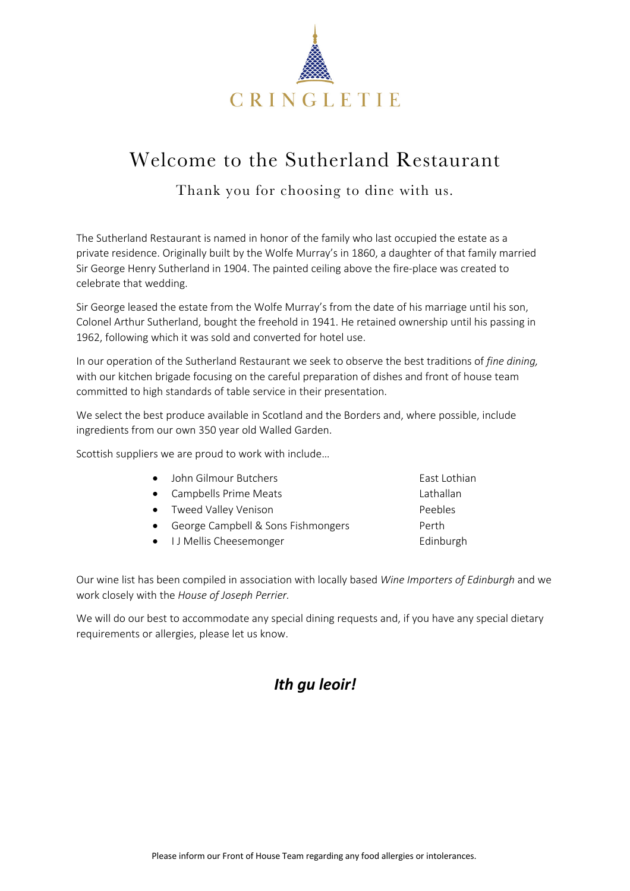

# Welcome to the Sutherland Restaurant

Thank you for choosing to dine with us.

The Sutherland Restaurant is named in honor of the family who last occupied the estate as a private residence. Originally built by the Wolfe Murray's in 1860, a daughter of that family married Sir George Henry Sutherland in 1904. The painted ceiling above the fire-place was created to celebrate that wedding.

Sir George leased the estate from the Wolfe Murray's from the date of his marriage until his son, Colonel Arthur Sutherland, bought the freehold in 1941. He retained ownership until his passing in 1962, following which it was sold and converted for hotel use.

In our operation of the Sutherland Restaurant we seek to observe the best traditions of *fine dining,*  with our kitchen brigade focusing on the careful preparation of dishes and front of house team committed to high standards of table service in their presentation.

We select the best produce available in Scotland and the Borders and, where possible, include ingredients from our own 350 year old Walled Garden.

Scottish suppliers we are proud to work with include…

| • John Gilmour Butchers            | East Lothian |
|------------------------------------|--------------|
| • Campbells Prime Meats            | Lathallan    |
| • Tweed Valley Venison             | Peebles      |
| George Campbell & Sons Fishmongers | Perth        |
| • I J Mellis Cheesemonger          | Edinburgh    |
|                                    |              |

Our wine list has been compiled in association with locally based *Wine Importers of Edinburgh* and we work closely with the *House of Joseph Perrier.*

We will do our best to accommodate any special dining requests and, if you have any special dietary requirements or allergies, please let us know.

# *Ith gu leoir!*